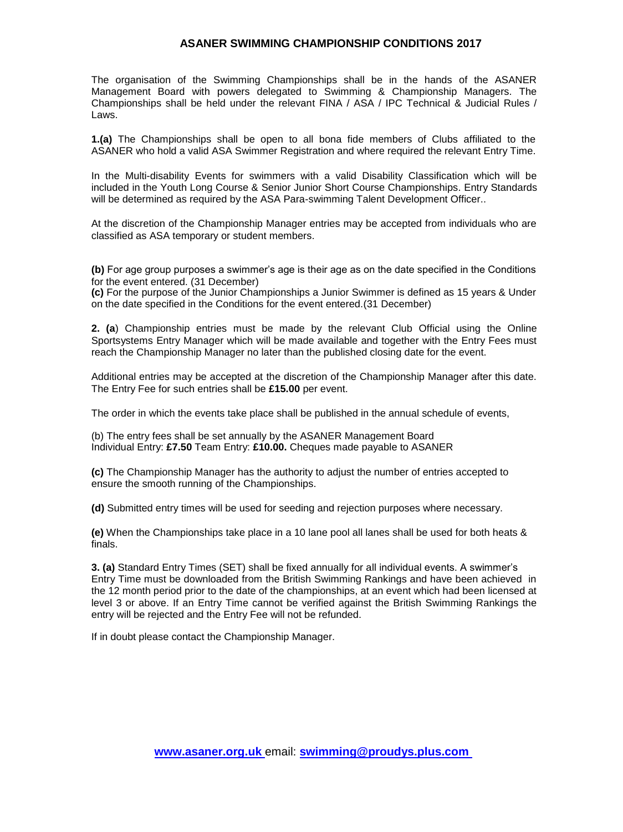# **ASANER SWIMMING CHAMPIONSHIP CONDITIONS 2017**

The organisation of the Swimming Championships shall be in the hands of the ASANER Management Board with powers delegated to Swimming & Championship Managers. The Championships shall be held under the relevant FINA / ASA / IPC Technical & Judicial Rules / Laws.

**1.(a)** The Championships shall be open to all bona fide members of Clubs affiliated to the ASANER who hold a valid ASA Swimmer Registration and where required the relevant Entry Time.

In the Multi-disability Events for swimmers with a valid Disability Classification which will be included in the Youth Long Course & Senior Junior Short Course Championships. Entry Standards will be determined as required by the ASA Para-swimming Talent Development Officer..

At the discretion of the Championship Manager entries may be accepted from individuals who are classified as ASA temporary or student members.

**(b)** For age group purposes a swimmer's age is their age as on the date specified in the Conditions for the event entered. (31 December)

**(c)** For the purpose of the Junior Championships a Junior Swimmer is defined as 15 years & Under on the date specified in the Conditions for the event entered.(31 December)

**2. (a**) Championship entries must be made by the relevant Club Official using the Online Sportsystems Entry Manager which will be made available and together with the Entry Fees must reach the Championship Manager no later than the published closing date for the event.

Additional entries may be accepted at the discretion of the Championship Manager after this date. The Entry Fee for such entries shall be **£15.00** per event.

The order in which the events take place shall be published in the annual schedule of events,

(b) The entry fees shall be set annually by the ASANER Management Board Individual Entry: **£7.50** Team Entry: **£10.00.** Cheques made payable to ASANER

**(c)** The Championship Manager has the authority to adjust the number of entries accepted to ensure the smooth running of the Championships.

**(d)** Submitted entry times will be used for seeding and rejection purposes where necessary.

**(e)** When the Championships take place in a 10 lane pool all lanes shall be used for both heats & finals.

**3. (a)** Standard Entry Times (SET) shall be fixed annually for all individual events. A swimmer's Entry Time must be downloaded from the British Swimming Rankings and have been achieved in the 12 month period prior to the date of the championships, at an event which had been licensed at level 3 or above. If an Entry Time cannot be verified against the British Swimming Rankings the entry will be rejected and the Entry Fee will not be refunded.

If in doubt please contact the Championship Manager.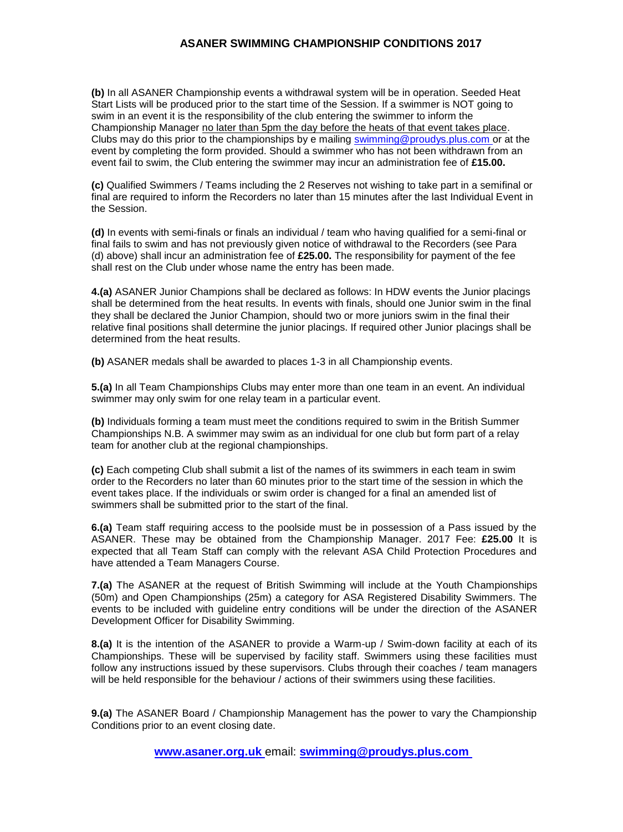# **ASANER SWIMMING CHAMPIONSHIP CONDITIONS 2017**

**(b)** In all ASANER Championship events a withdrawal system will be in operation. Seeded Heat Start Lists will be produced prior to the start time of the Session. If a swimmer is NOT going to swim in an event it is the responsibility of the club entering the swimmer to inform the Championship Manager no later than 5pm the day before the heats of that event takes place. Clubs may do this prior to the championships by e mailing [swimming@proudys.plus.com o](mailto:swimming@proudys.plus.com)r at the event by completing the form provided. Should a swimmer who has not been withdrawn from an event fail to swim, the Club entering the swimmer may incur an administration fee of **£15.00.** 

**(c)** Qualified Swimmers / Teams including the 2 Reserves not wishing to take part in a semifinal or final are required to inform the Recorders no later than 15 minutes after the last Individual Event in the Session.

**(d)** In events with semi-finals or finals an individual / team who having qualified for a semi-final or final fails to swim and has not previously given notice of withdrawal to the Recorders (see Para (d) above) shall incur an administration fee of **£25.00.** The responsibility for payment of the fee shall rest on the Club under whose name the entry has been made.

**4.(a)** ASANER Junior Champions shall be declared as follows: In HDW events the Junior placings shall be determined from the heat results. In events with finals, should one Junior swim in the final they shall be declared the Junior Champion, should two or more juniors swim in the final their relative final positions shall determine the junior placings. If required other Junior placings shall be determined from the heat results.

**(b)** ASANER medals shall be awarded to places 1-3 in all Championship events.

**5.(a)** In all Team Championships Clubs may enter more than one team in an event. An individual swimmer may only swim for one relay team in a particular event.

**(b)** Individuals forming a team must meet the conditions required to swim in the British Summer Championships N.B. A swimmer may swim as an individual for one club but form part of a relay team for another club at the regional championships.

**(c)** Each competing Club shall submit a list of the names of its swimmers in each team in swim order to the Recorders no later than 60 minutes prior to the start time of the session in which the event takes place. If the individuals or swim order is changed for a final an amended list of swimmers shall be submitted prior to the start of the final.

**6.(a)** Team staff requiring access to the poolside must be in possession of a Pass issued by the ASANER. These may be obtained from the Championship Manager. 2017 Fee: **£25.00** It is expected that all Team Staff can comply with the relevant ASA Child Protection Procedures and have attended a Team Managers Course.

**7.(a)** The ASANER at the request of British Swimming will include at the Youth Championships (50m) and Open Championships (25m) a category for ASA Registered Disability Swimmers. The events to be included with guideline entry conditions will be under the direction of the ASANER Development Officer for Disability Swimming.

**8.(a)** It is the intention of the ASANER to provide a Warm-up / Swim-down facility at each of its Championships. These will be supervised by facility staff. Swimmers using these facilities must follow any instructions issued by these supervisors. Clubs through their coaches / team managers will be held responsible for the behaviour / actions of their swimmers using these facilities.

**9.(a)** The ASANER Board / Championship Management has the power to vary the Championship Conditions prior to an event closing date.

**[www.asaner.org.uk](http://www.asaner.org.uk/)** email: **[swimming@proudys.plus.com](http://www.asaner.org.uk/)**